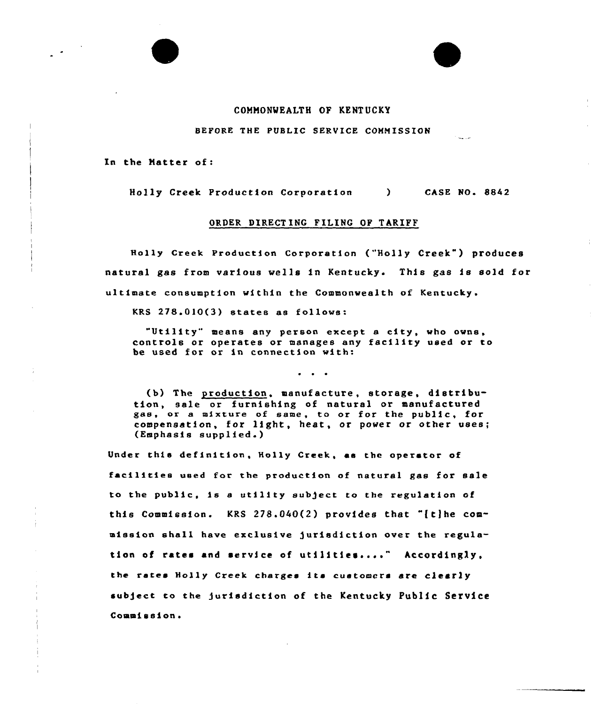## COMMONWEALTH OF KENTUCKY

## BEFORE THE PUBLIC SERVICE COMMISSION

In the Matter of:

Holly Creek Production Corporation CASE NO. 8842

## ORDER DIRECTING FILING OF TARIFF

Holly Creek Production Corporation ("Holly Creek") produces natural gas from various wells in Kentucky. This gas is so)d for ultimate consumption within the Commonwealth of Kentucky.

KRS 278.010(3) states as follows:

"Utility" means any person except <sup>a</sup> city, who owns, controls or operates or manages any facility used or to be used for or in connection with:

(b) The production, manufacture, storage, distribution, sale or furnishing of natural or manufactured gas, or a mixture of same, to or for the public, for compensation, for light, heat, or power or other uses; (Emphasis supplied.)

Under this definition, Holly Creek, aa the operator of facilities used for the production of natural gas for sale to the public, is <sup>a</sup> utility subject to the regulation of this Commission. KRS 278.040(2) provides that "[tjhe commission shall have exclusive )urisdiction over the regulation of rates and service of utilities...." Accordingly the rates Holly Creek charges its customers are clearly subject to the jurisdiction of the Kentucky Public Service Commission.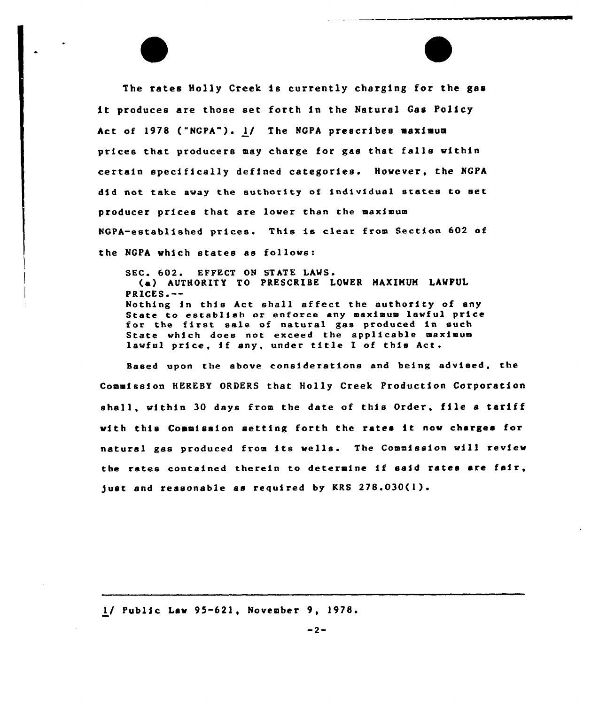The rates Holly Creek is currently charging for the gas it produces are those set forth in the Natural Gas Policy Act of 1978 ("NGPA"). 1) The NGPA prescribes maximum prices that producers may charge for gas that falls within certain specifically defined categories. However, the NGPA did not take away the authority of individual states to set producer prices that are lower than the maximum NGPA-established prices. This is clear from Section 602 of the NGPA which states as follows:

SEC. 602. EFFECT ON STATE LAWS. (a) AUTHORITY TO PRESCRIBE LOWER MAXIMUM LAWFUI PRICES ~-- Interest in this Act shall affect the authority of any State to establish or enforce any maximum lawful price state to establish of enforce any maximum lawidi pro State which does not exceed the applicable maximu lawful price, if any under title I of this Act.

Based upon the above consfderatfons end being advised, the Commission HERESY ORDERS that Holly Creek Production Corporation shall, within <sup>30</sup> days from the date of this Order, file <sup>a</sup> tariff with this Commission setting forth the rates it now charges for natural ges produced from fts wells. The Commission will review the rates contained therein to determine if said rates are fair, just and reasonable as required by KRS 278.030(1).

1/ Public Law 95-621, November 9, 1978.